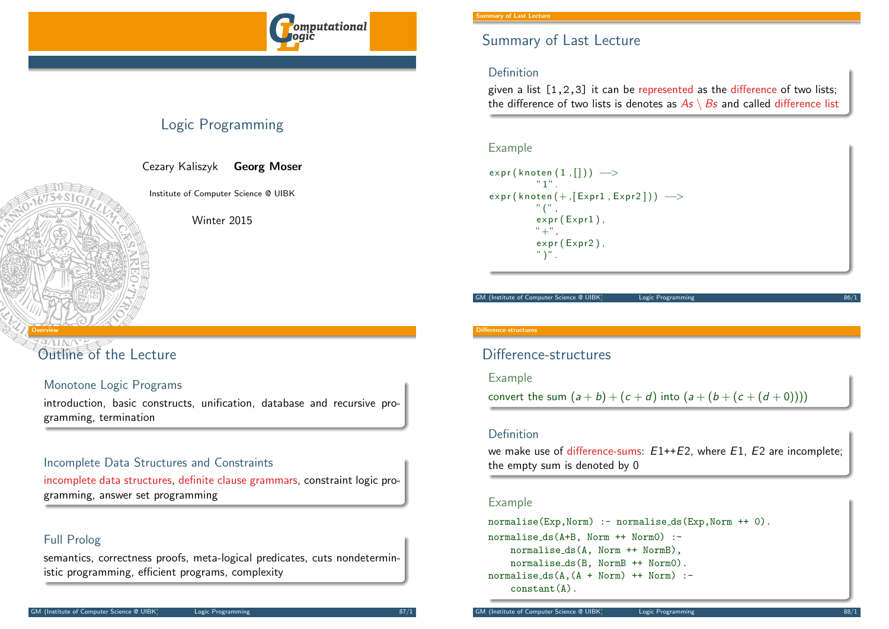

#### **Imary of Last Lecture**

# Summary of Last Lecture

# Definition

given a list [1,2,3] it can be represented as the difference of two lists; the difference of two lists is denotes as  $As \setminus Bs$  and called difference list

### Example

```
exp(r(knoten(1, [])) \longrightarrow" 1 ".
\exp(r(\text{knoten}(+, \text{[Expr1}, \text{Expr2}])) \implies" (",
            expr(Expr1),
            " +"expr(Expr2),
            ")".
```
GM (Institute of Computer Science @ UIBK) Logic Programming



# <span id="page-0-0"></span>[Outline](#page-0-0) of the Lecture

# Monotone Logic Programs

introduction, basic constructs, unification, database and recursive programming, termination

Logic Programming

Institute of Computer Science @ UIBK

Winter 2015

# Incomplete Data Structures and Constraints

incomplete data structures, definite clause grammars, constraint logic programming, answer set programming

# Full Prolog

semantics, correctness proofs, meta-logical predicates, cuts nondeterministic programming, efficient programs, complexity

# Difference-structures

Example

convert the sum  $(a + b) + (c + d)$  into  $(a + (b + (c + (d + 0))))$ 

### Definition

we make use of difference-sums:  $E1++E2$ , where  $E1$ ,  $E2$  are incomplete: the empty sum is denoted by 0

### Example

```
normalise(Exp,Norm) :- normalise_ds(Exp,Norm ++ 0).
normalise ds(A+B, Norm ++ Norm0) :-
    normalise ds(A, Norm ++ NormB),
    normalise ds(B, NormB ++ Norm0).
normalise_ds(A, (A + Norm) ++ Norm) :-
    constant(A).
```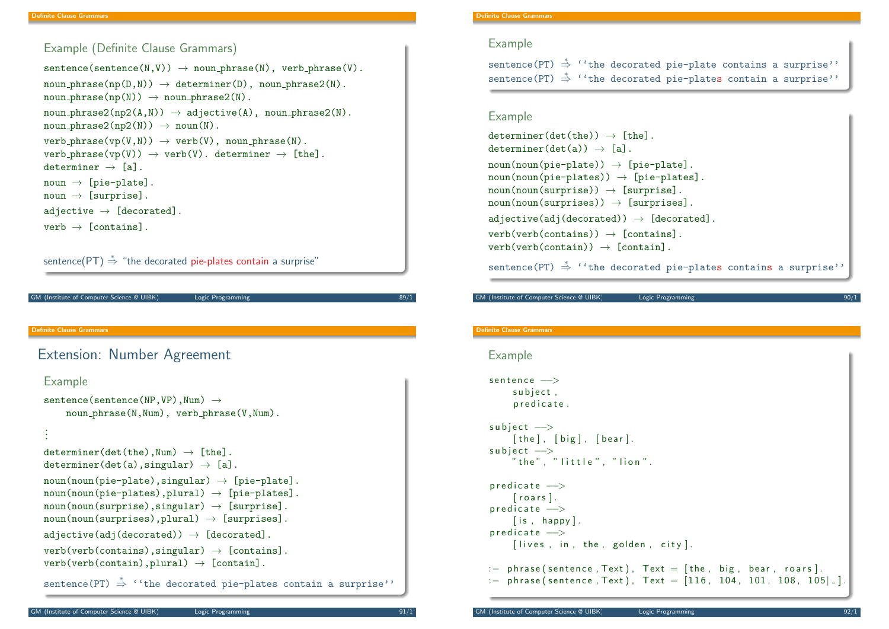## Example (Definite Clause Grammars)

```
sentence(sentence(N,V)) \rightarrow noun\_phrase(N), verb\_phrase(V).\text{noun\_phrase(np(D,N))} \rightarrow \text{determiner(D), noun\_phrase2(N)}.noun\_phrase(np(N)) \rightarrow noun\_phrase2(N).\text{noun\_phrase2(np2(A,N))} \rightarrow \text{adjective(A), noun\_phrase2(N)}.\text{noun\_phrase2(np2(N))} \rightarrow \text{noun(N)}.verb\_phrase(vp(V,N)) \rightarrow verb(V), noun phrase(N).
verb_phrase(vp(V)) \rightarrow verb(V). determiner \rightarrow [the].
determiner \rightarrow [a].
\text{noun} \rightarrow [\text{pie-plate}].\text{noun } \rightarrow [surprise].
adjective \rightarrow [decorated].
verb \rightarrow [contains].
```

```
sentence(PT) \stackrel{*}{\Rightarrow} "the decorated pie-plates contain a surprise"
```
GM (Institute of Computer Science @ UIBK) Logic Programming

#### Definite Clause Grammars

# <span id="page-1-0"></span>[Extensi](#page-1-0)on: Number Agreement

### Example

```
sentence(sentence(NP, VP), Num) \rightarrownoun_phrase(N,Num), verb_phrase(V,Num).
.
.
.
determiner(det(the),Num) \rightarrow [the].
determiner(det(a), singular) \rightarrow [a].
\text{noun}(\text{noun}(\text{pie-plate}), \text{singular}) \rightarrow [\text{pie-plate}].
\text{noun}(\text{noun}(\text{pie-plates}), \text{plus}) \rightarrow [\text{pie-plates}].\text{noun}(\text{source}), singular) \rightarrow [surprise].
\text{noun}(\text{sum}(\text{surprises}), \text{plural}) \rightarrow [\text{surprises}].
adjective(adj(decorated)) \rightarrow [decorated].verb(contains).singular) \rightarrow [contains].verb(vert),plural) \rightarrow [contain].
sentence(PT) \stackrel{*}{\Rightarrow} ''the decorated pie-plates contain a surprise''
```
#### Definite Clause Grammars

### Example

| sentence(PT) $\stackrel{*}{\Rightarrow}$ ''the decorated pie-plate contains a surprise'' |  |  |  |  |
|------------------------------------------------------------------------------------------|--|--|--|--|
| sentence(PT) $\stackrel{*}{\Rightarrow}$ ''the decorated pie-plates contain a surprise'' |  |  |  |  |

### Example

 $determiner(det(the)) \rightarrow [the]$ .  $determiner(det(a)) \rightarrow [a]$ .  $\text{noun}(\text{noun}(\text{pie-plate}) \rightarrow [\text{pie-plate}]$ .  $\text{noun}(\text{noun}(\text{pie-plates})) \rightarrow [\text{pie-plates}].$  $\text{noun}(\text{noun}(\text{surprise})) \rightarrow [\text{surprise}]$ .  $\text{noun}(\text{noun}(\text{surprises})) \rightarrow [\text{surprises}]$ .  $adjective(adj(decorated)) \rightarrow [decorated].$  $verb(rerb(contains)) \rightarrow$  [contains].  $verb(rech(contain)) \rightarrow [contain].$ sentence(PT)  $\stackrel{*}{\Rightarrow}$  ''the decorated pie-plates contains a surprise''

GM (Institute of Computer Science @ UIBK) Logic Programming

#### Definite Clause Grammars

```
Example
```
sentence --> subject. predicate.

```
subject \longrightarrow[ the ], [ big ], [ bear ].
subject \longrightarrow" the" \cdot " little" \cdot " lion".
predicate \longrightarrow[roars].
p redicate \rightarrow[ is , happy ].
predicate \longrightarrow[ lives, in, the, golden, city ].
```

```
: phrase (sentence, Text), Text = [the, big, bear, roars].
```

```
: phrase (sentence, Text), Text = [116, 104, 101, 108, 105| ...
```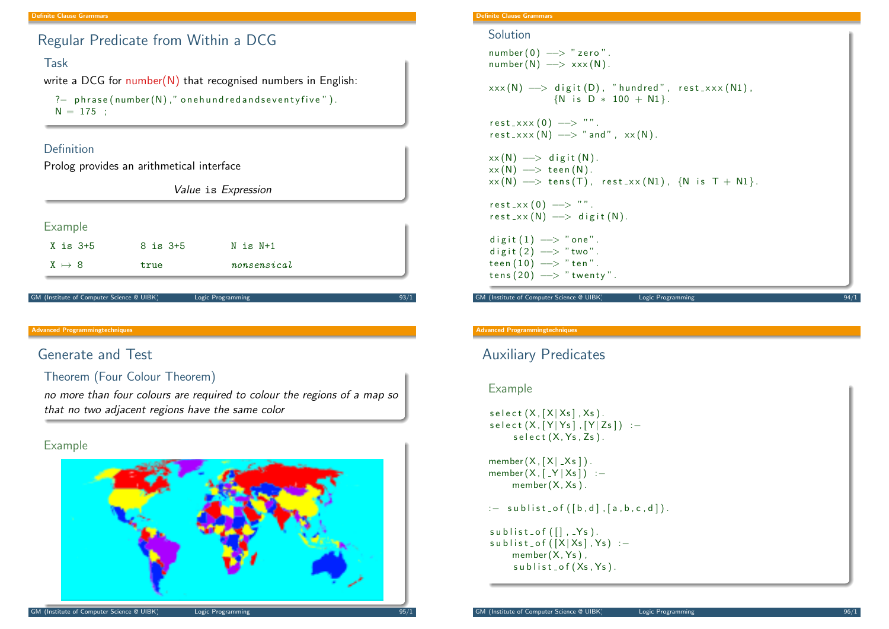# Regular Predicate from Within a DCG

### Task

```
write a DCG for number(N) that recognised numbers in English:
  ? - phrase (number (N)," one hundred and seventy five").
  N = 175 ;
```
# Definition

Prolog provides an arithmetical interface

Value is Expression

| Example       |          |              |  |
|---------------|----------|--------------|--|
| $X$ is $3+5$  | 8 is 3+5 | $N$ is $N+1$ |  |
| $X \mapsto 8$ | true     | nonsensical  |  |

#### GM (Institute of Computer Science @ UIBK) Logic Programming Computer 193/1

#### Advanced Programmingtechniques

# <span id="page-2-0"></span>[Gener](#page-1-0)[ate a](#page-2-0)nd Test

# Theorem (Four Colour Theorem)

no more than four colours are required to colour the regions of a map so that no two adjacent regions have the same color



### Definite Clause Grammars

```
Solution
number(0) \longrightarrow "zero".number(N) \longrightarrow xxx(N).
xxx(N) \longrightarrow digit (D), "hundred", rest_xxx (N1),
                \{N \text{ is } D \times 100 + N1\}.
rest_xxx(0) \longrightarrow "".
r e s t _ x x x (N) - \Rightarrow " and ", x x (N).
xx(N) \longrightarrow digit (N).
xx(N) \longrightarrow teen (N).
xx(N) \longrightarrow tens(T), rest_xx(N1), {N is T + N1 }.
rest_x (0) \longrightarrow "".rest_x (N) \longrightarrow digit (N).
digit (1) \longrightarrow "one".
digit (2) --> "two".
teen (10) --> "ten".
tens (20) \longrightarrow "twenty".
```
GM (Institute of Computer Science @ UIBK) Logic Programming

### Advanced Programmingtechniques

# Auxiliary Predicates

### Example

```
s e l e c t (X, [X|Xs], Xs).
s e l e c t (X, [Y|Ys] , [Y|Zs]) : -
     select(X, Ys, Zs).
```

```
member(X, [X | X s]).
member(X, [-Y | Xs]) :-
    member(X, Xs).
```

```
: - sublist _of ([b, d], [a, b, c, d]).
```

```
sublist_of([], Ys),sublist_of([X|Xs], Ys) :-
    member(X, Ys),
    sublist_of(Xs, Ys).
```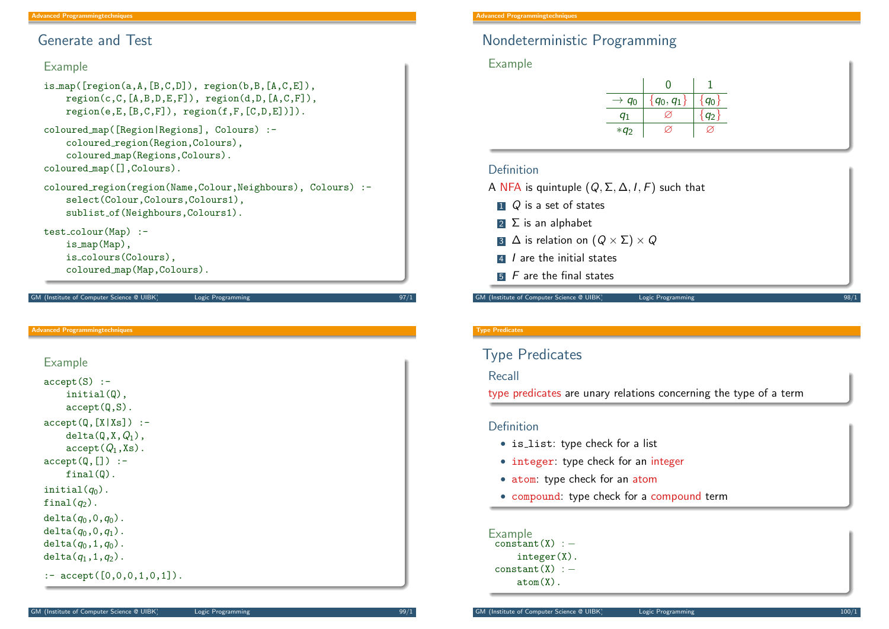# Generate and Test

### Example

```
is map([region(a,A,[B,C,D]), region(b,B,[A,C,E]),
    region(c,C,[A,B,D,E,F]), region(d,D,[A,C,F]),region(e, E, [B, C, F]), region(f, F, [C, D, E])).
```
coloured map([Region|Regions], Colours) : coloured region(Region,Colours), coloured map(Regions,Colours).

```
coloured map([],Colours).
```

```
coloured region(region(Name,Colour,Neighbours), Colours) :-
   select(Colour,Colours,Colours1),
   sublist of(Neighbours,Colours1).
```
### test colour(Map) :-

```
is map(Map),
is colours(Colours),
coloured map(Map,Colours).
```
#### M (Institute of Computer Science @ UIBK) Logic Programming

#### Advanced Programmingtechniques

<span id="page-3-0"></span>

#### dvanced Programmingtechniq

# Nondeterministic Programming

Example

|                   | 0            |       |
|-------------------|--------------|-------|
| $\rightarrow q_0$ | $q_0, q_1\}$ | $q_0$ |
| q1                |              | $q_2$ |
| $*q_2$            |              |       |

### Definition

- A NFA is quintuple  $(Q, \Sigma, \Delta, I, F)$  such that
- $\blacksquare$  Q is a set of states
- $2\Sigma$  is an alphabet
- **3**  $\Delta$  is relation on  $(Q \times \Sigma) \times Q$
- 4 I are the initial states
- $\overline{5}$  F are the final states

GM (Institute of Computer Science @ UIBK) Logic Programming

#### Type Predicates

# Type Predicates

Recall

type predicates are unary relations concerning the type of a term

# Definition

- is\_list: type check for a list
- integer: type check for an integer
- atom: type check for an atom
- compound: type check for a compound term

```
Example
 constant(X) : −
     integer(X).
 constant(X) : -atom(X).
```